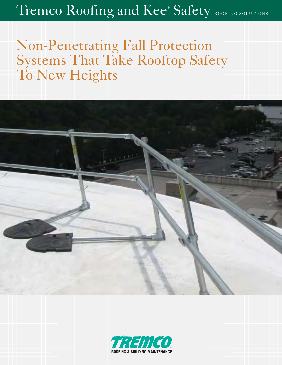## Tremco Roofing and Kee® Safety ROOFING SOLUTIONS

# Non-Penetrating Fall Protection Systems That Take Rooftop Safety To New Heights



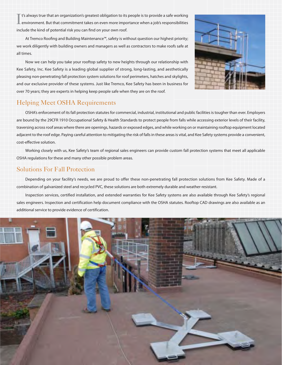I t's always true that an organization's greatest obligation to its people is to provide a safe working environment. But that commitment takes on even more importance when a job's responsibilities include the kind of potential risk you can find on your own roof.

At Tremco Roofing and Building Maintenance™, safety is without question our highest priority; we work diligently with building owners and managers as well as contractors to make roofs safe at all times.

 Now we can help you take your rooftop safety to new heights through our relationship with Kee Safety, Inc. Kee Safety is a leading global supplier of strong, long-lasting, and aesthetically pleasing non-penetrating fall protection system solutions for roof perimeters, hatches and skylights, and our exclusive provider of these systems. Just like Tremco, Kee Safety has been in business for over 70 years; they are experts in helping keep people safe when they are on the roof.



## Helping Meet OSHA Requirements

 OSHA's enforcement of its fall protection statutes for commercial, industrial, institutional and public facilities is tougher than ever. Employers are bound by the 29CFR 1910 Occupational Safety & Health Standards to protect people from falls while accessing exterior levels of their facility, traversing across roof areas where there are openings, hazards or exposed edges, and while working on or maintaining rooftop equipment located adjacent to the roof edge. Paying careful attention to mitigating the risk of falls in these areas is vital, and Kee Safety systems provide a convenient, cost-effective solution.

 Working closely with us, Kee Safety's team of regional sales engineers can provide custom fall protection systems that meet all applicable OSHA regulations for these and many other possible problem areas.

## Solutions For Fall Protection

 Depending on your facility's needs, we are proud to offer these non-penetrating fall protection solutions from Kee Safety. Made of a combination of galvanized steel and recycled PVC, these solutions are both extremely durable and weather-resistant.

 Inspection services, certified installation, and extended warranties for Kee Safety systems are also available through Kee Safety's regional sales engineers. Inspection and certification help document compliance with the OSHA statutes. Rooftop CAD drawings are also available as an additional service to provide evidence of certification.

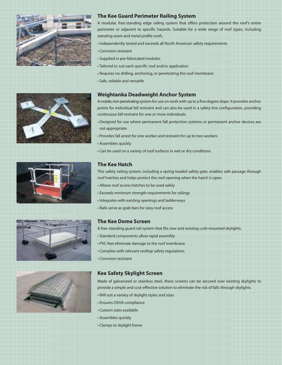

### **The Kee Guard Perimeter Railing System**

A modular, free-standing edge railing system that offers protection around the roof's entire perimeter or adjacent to specific hazards. Suitable for a wide range of roof types, including standing seam and metal profile roofs.

- Independently tested and exceeds all North American safety requirements
- Corrosion resistant
- Supplied in pre-fabricated modules
- Tailored to suit each specific roof and/or application
- Requires no drilling, anchoring, or penetrating the roof membrane
- Safe, reliable and versatile

#### **Weightanka Deadweight Anchor System**

A mobile, non-penetrating system for use on roofs with up to a five degree slope. It provides anchor points for individual fall restraint and can also be used in a safety line configuration, providing continuous fall restraint for one or more individuals.

- Designed for use where permanent fall protection systems or permanent anchor devices are not appropriate
- Provides fall arrest for one worker and restraint for up to two workers
- Assembles quickly
- Can be used on a variety of roof surfaces in wet or dry conditions

#### **The Kee Hatch**

This safety railing system, including a spring-loaded safety gate, enables safe passage through roof hatches and helps protect the roof opening when the hatch is open.

- Allows roof access hatches to be used safely
- Exceeds minimum strength requirements for railings
- Integrates with existing openings and ladderways
- Rails serve as grab bars for easy roof access

#### **The Kee Dome Screen**

A free-standing guard rail system that fits new and existing curb-mounted skylights.

- Standard components allow rapid assembly
- PVC feet eliminate damage to the roof membrane
- Complies with relevant rooftop safety regulations
- Corrosion resistant

### **Kee Safety Skylight Screen**

Made of galvanized or stainless steel, these screens can be secured over existing skylights to provide a simple and cost-effective solution to eliminate the risk of falls through skylights.

- Will suit a variety of skylight styles and sizes
- Ensures OSHA compliance
- Custom sizes available
- Assembles quickly
- Clamps to skylight frame